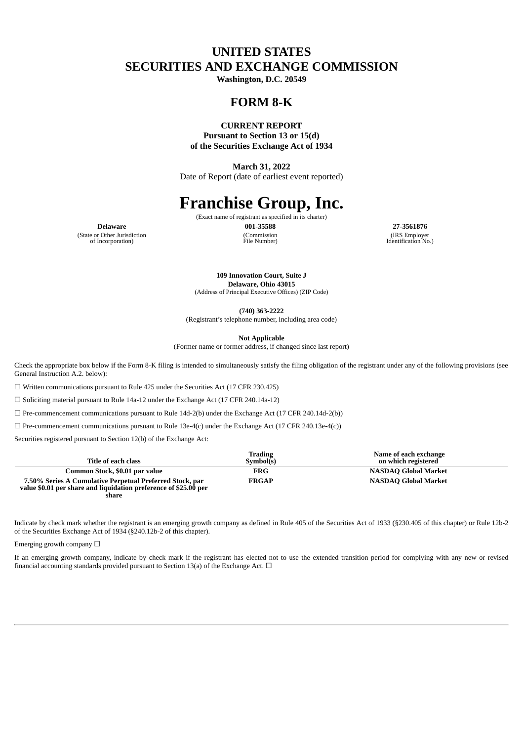# **UNITED STATES SECURITIES AND EXCHANGE COMMISSION**

**Washington, D.C. 20549**

# **FORM 8-K**

#### **CURRENT REPORT**

**Pursuant to Section 13 or 15(d) of the Securities Exchange Act of 1934**

**March 31, 2022** Date of Report (date of earliest event reported)

# **Franchise Group, Inc.**

(Exact name of registrant as specified in its charter) **Delaware 001-35588 27-3561876**

(Commission File Number)

(IRS Employer Identification No.)

(State or Other Jurisdiction of Incorporation)

> **109 Innovation Court, Suite J Delaware, Ohio 43015**

(Address of Principal Executive Offices) (ZIP Code)

**(740) 363-2222**

(Registrant's telephone number, including area code)

**Not Applicable**

(Former name or former address, if changed since last report)

Check the appropriate box below if the Form 8-K filing is intended to simultaneously satisfy the filing obligation of the registrant under any of the following provisions (see General Instruction A.2. below):

☐ Written communications pursuant to Rule 425 under the Securities Act (17 CFR 230.425)

☐ Soliciting material pursuant to Rule 14a-12 under the Exchange Act (17 CFR 240.14a-12)

 $\Box$  Pre-commencement communications pursuant to Rule 14d-2(b) under the Exchange Act (17 CFR 240.14d-2(b))

☐ Pre-commencement communications pursuant to Rule 13e-4(c) under the Exchange Act (17 CFR 240.13e-4(c))

Securities registered pursuant to Section 12(b) of the Exchange Act:

| Title of each class                                                                                                                   | <b>Trading</b><br>Symbol(s) | Name of each exchange<br>on which registered |
|---------------------------------------------------------------------------------------------------------------------------------------|-----------------------------|----------------------------------------------|
| Common Stock, \$0.01 par value                                                                                                        | FRG                         | NASDAQ Global Market                         |
| 7.50% Series A Cumulative Perpetual Preferred Stock, par<br>value \$0.01 per share and liquidation preference of \$25.00 per<br>share | <b>FRGAP</b>                | NASDAQ Global Market                         |

Indicate by check mark whether the registrant is an emerging growth company as defined in Rule 405 of the Securities Act of 1933 (§230.405 of this chapter) or Rule 12b-2 of the Securities Exchange Act of 1934 (§240.12b-2 of this chapter).

Emerging growth company  $\Box$ 

If an emerging growth company, indicate by check mark if the registrant has elected not to use the extended transition period for complying with any new or revised financial accounting standards provided pursuant to Section 13(a) of the Exchange Act.  $\Box$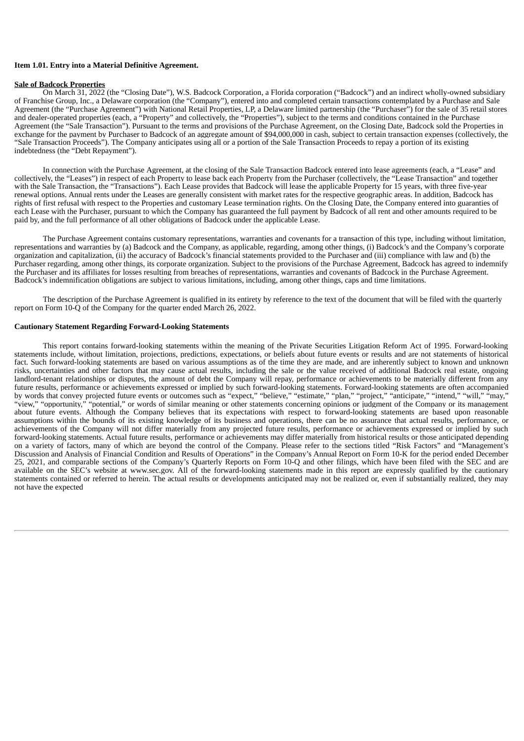#### **Item 1.01. Entry into a Material Definitive Agreement.**

#### **Sale of Badcock Properties**

On March 31, 2022 (the "Closing Date"), W.S. Badcock Corporation, a Florida corporation ("Badcock") and an indirect wholly-owned subsidiary of Franchise Group, Inc., a Delaware corporation (the "Company"), entered into and completed certain transactions contemplated by a Purchase and Sale Agreement (the "Purchase Agreement") with National Retail Properties, LP, a Delaware limited partnership (the "Purchaser") for the sale of 35 retail stores and dealer-operated properties (each, a "Property" and collectively, the "Properties"), subject to the terms and conditions contained in the Purchase Agreement (the "Sale Transaction"). Pursuant to the terms and provisions of the Purchase Agreement, on the Closing Date, Badcock sold the Properties in exchange for the payment by Purchaser to Badcock of an aggregate amount of \$94,000,000 in cash, subject to certain transaction expenses (collectively, the "Sale Transaction Proceeds"). The Company anticipates using all or a portion of the Sale Transaction Proceeds to repay a portion of its existing indebtedness (the "Debt Repayment").

In connection with the Purchase Agreement, at the closing of the Sale Transaction Badcock entered into lease agreements (each, a "Lease" and collectively, the "Leases") in respect of each Property to lease back each Property from the Purchaser (collectively, the "Lease Transaction" and together with the Sale Transaction, the "Transactions"). Each Lease provides that Badcock will lease the applicable Property for 15 years, with three five-year renewal options. Annual rents under the Leases are generally consistent with market rates for the respective geographic areas. In addition, Badcock has rights of first refusal with respect to the Properties and customary Lease termination rights. On the Closing Date, the Company entered into guaranties of each Lease with the Purchaser, pursuant to which the Company has guaranteed the full payment by Badcock of all rent and other amounts required to be paid by, and the full performance of all other obligations of Badcock under the applicable Lease.

The Purchase Agreement contains customary representations, warranties and covenants for a transaction of this type, including without limitation, representations and warranties by (a) Badcock and the Company, as applicable, regarding, among other things, (i) Badcock's and the Company's corporate organization and capitalization, (ii) the accuracy of Badcock's financial statements provided to the Purchaser and (iii) compliance with law and (b) the Purchaser regarding, among other things, its corporate organization. Subject to the provisions of the Purchase Agreement, Badcock has agreed to indemnify the Purchaser and its affiliates for losses resulting from breaches of representations, warranties and covenants of Badcock in the Purchase Agreement. Badcock's indemnification obligations are subject to various limitations, including, among other things, caps and time limitations.

The description of the Purchase Agreement is qualified in its entirety by reference to the text of the document that will be filed with the quarterly report on Form 10-Q of the Company for the quarter ended March 26, 2022.

#### **Cautionary Statement Regarding Forward-Looking Statements**

This report contains forward-looking statements within the meaning of the Private Securities Litigation Reform Act of 1995. Forward-looking statements include, without limitation, projections, predictions, expectations, or beliefs about future events or results and are not statements of historical fact. Such forward-looking statements are based on various assumptions as of the time they are made, and are inherently subject to known and unknown risks, uncertainties and other factors that may cause actual results, including the sale or the value received of additional Badcock real estate, ongoing landlord-tenant relationships or disputes, the amount of debt the Company will repay, performance or achievements to be materially different from any future results, performance or achievements expressed or implied by such forward-looking statements. Forward-looking statements are often accompanied by words that convey projected future events or outcomes such as "expect," "believe," "estimate," "plan," "project," "anticipate," "intend," "will," "may," "view," "opportunity," "potential," or words of similar meaning or other statements concerning opinions or judgment of the Company or its management about future events. Although the Company believes that its expectations with respect to forward-looking statements are based upon reasonable about future events. Although the Company believes that its expectations with re assumptions within the bounds of its existing knowledge of its business and operations, there can be no assurance that actual results, performance, or achievements of the Company will not differ materially from any projected future results, performance or achievements expressed or implied by such forward-looking statements. Actual future results, performance or achievements may differ materially from historical results or those anticipated depending on a variety of factors, many of which are beyond the control of the Company. Please refer to the sections titled "Risk Factors" and "Management's Discussion and Analysis of Financial Condition and Results of Operations" in the Company's Annual Report on Form 10-K for the period ended December 25, 2021, and comparable sections of the Company's Quarterly Reports on Form 10-Q and other filings, which have been filed with the SEC and are available on the SEC's website at www.sec.gov. All of the forward-looking statements made in this report are expressly qualified by the cautionary statements contained or referred to herein. The actual results or developments anticipated may not be realized or, even if substantially realized, they may not have the expected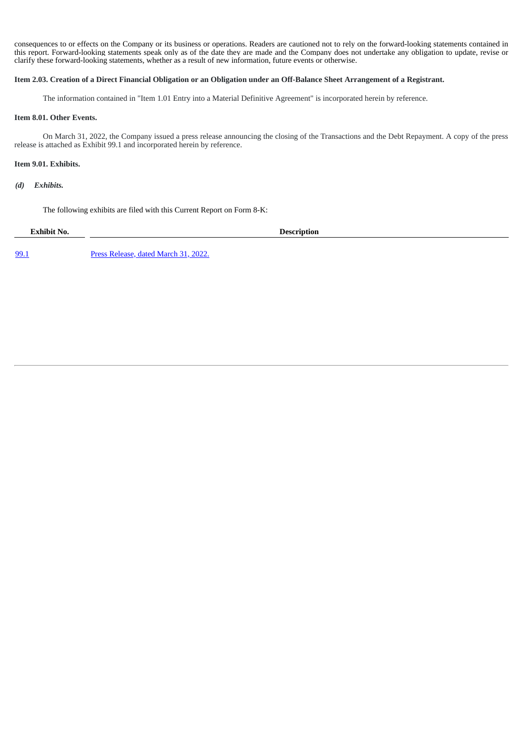consequences to or effects on the Company or its business or operations. Readers are cautioned not to rely on the forward-looking statements contained in this report. Forward-looking statements speak only as of the date they are made and the Company does not undertake any obligation to update, revise or clarify these forward-looking statements, whether as a result of new information, future events or otherwise.

#### Item 2.03. Creation of a Direct Financial Obligation or an Obligation under an Off-Balance Sheet Arrangement of a Registrant.

The information contained in "Item 1.01 Entry into a Material Definitive Agreement" is incorporated herein by reference.

### **Item 8.01. Other Events.**

On March 31, 2022, the Company issued a press release announcing the closing of the Transactions and the Debt Repayment. A copy of the press release is attached as Exhibit 99.1 and incorporated herein by reference.

#### **Item 9.01. Exhibits.**

*(d) Exhibits.*

The following exhibits are filed with this Current Report on Form 8-K:

**Exhibit No. Description**

[99.1](#page-4-0) Press [Release,](#page-4-0) dated [March](#page-4-0) 31, 2022.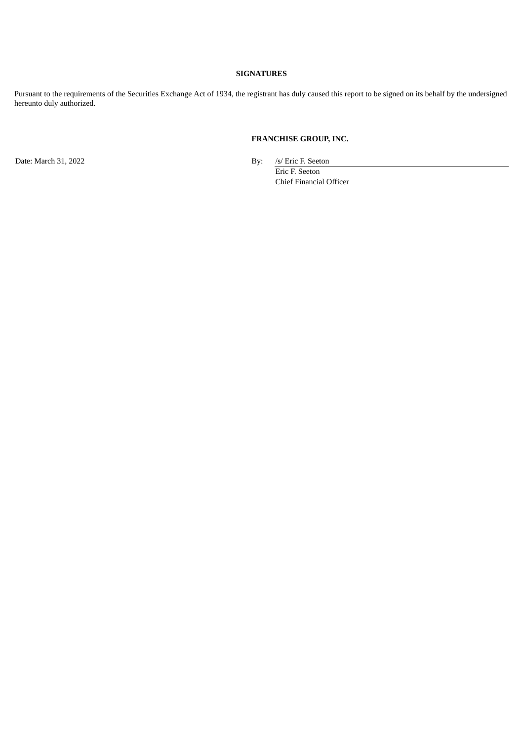### **SIGNATURES**

Pursuant to the requirements of the Securities Exchange Act of 1934, the registrant has duly caused this report to be signed on its behalf by the undersigned hereunto duly authorized.

## **FRANCHISE GROUP, INC.**

Date: March 31, 2022 By: /s/ Eric F. Seeton

Eric F. Seeton Chief Financial Officer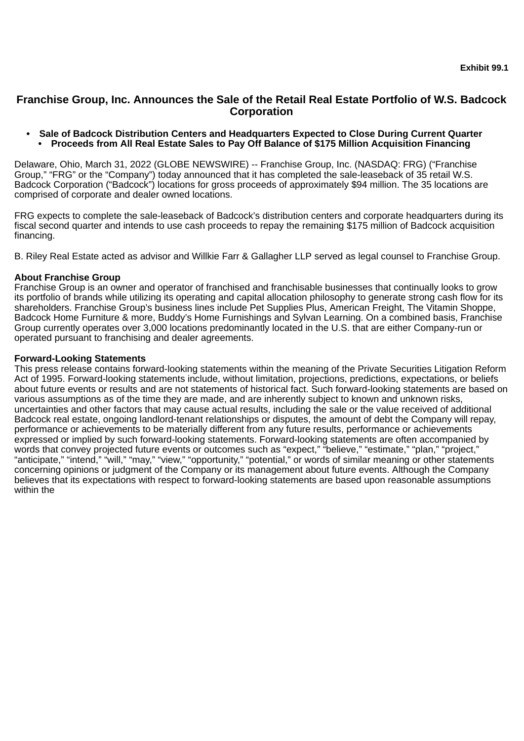# <span id="page-4-0"></span>**Franchise Group, Inc. Announces the Sale of the Retail Real Estate Portfolio of W.S. Badcock Corporation**

**• Sale of Badcock Distribution Centers and Headquarters Expected to Close During Current Quarter • Proceeds from All Real Estate Sales to Pay Off Balance of \$175 Million Acquisition Financing**

Delaware, Ohio, March 31, 2022 (GLOBE NEWSWIRE) -- Franchise Group, Inc. (NASDAQ: FRG) ("Franchise Group," "FRG" or the "Company") today announced that it has completed the sale-leaseback of 35 retail W.S. Badcock Corporation ("Badcock") locations for gross proceeds of approximately \$94 million. The 35 locations are comprised of corporate and dealer owned locations.

FRG expects to complete the sale-leaseback of Badcock's distribution centers and corporate headquarters during its fiscal second quarter and intends to use cash proceeds to repay the remaining \$175 million of Badcock acquisition financing.

B. Riley Real Estate acted as advisor and Willkie Farr & Gallagher LLP served as legal counsel to Franchise Group.

# **About Franchise Group**

Franchise Group is an owner and operator of franchised and franchisable businesses that continually looks to grow its portfolio of brands while utilizing its operating and capital allocation philosophy to generate strong cash flow for its shareholders. Franchise Group's business lines include Pet Supplies Plus, American Freight, The Vitamin Shoppe, Badcock Home Furniture & more, Buddy's Home Furnishings and Sylvan Learning. On a combined basis, Franchise Group currently operates over 3,000 locations predominantly located in the U.S. that are either Company-run or operated pursuant to franchising and dealer agreements.

## **Forward-Looking Statements**

This press release contains forward-looking statements within the meaning of the Private Securities Litigation Reform Act of 1995. Forward-looking statements include, without limitation, projections, predictions, expectations, or beliefs about future events or results and are not statements of historical fact. Such forward-looking statements are based on various assumptions as of the time they are made, and are inherently subject to known and unknown risks, uncertainties and other factors that may cause actual results, including the sale or the value received of additional Badcock real estate, ongoing landlord-tenant relationships or disputes, the amount of debt the Company will repay, performance or achievements to be materially different from any future results, performance or achievements expressed or implied by such forward-looking statements. Forward-looking statements are often accompanied by words that convey projected future events or outcomes such as "expect," "believe," "estimate," "plan," "project," "anticipate," "intend," "will," "may," "view," "opportunity," "potential," or words of similar meaning or other statements concerning opinions or judgment of the Company or its management about future events. Although the Company believes that its expectations with respect to forward-looking statements are based upon reasonable assumptions within the